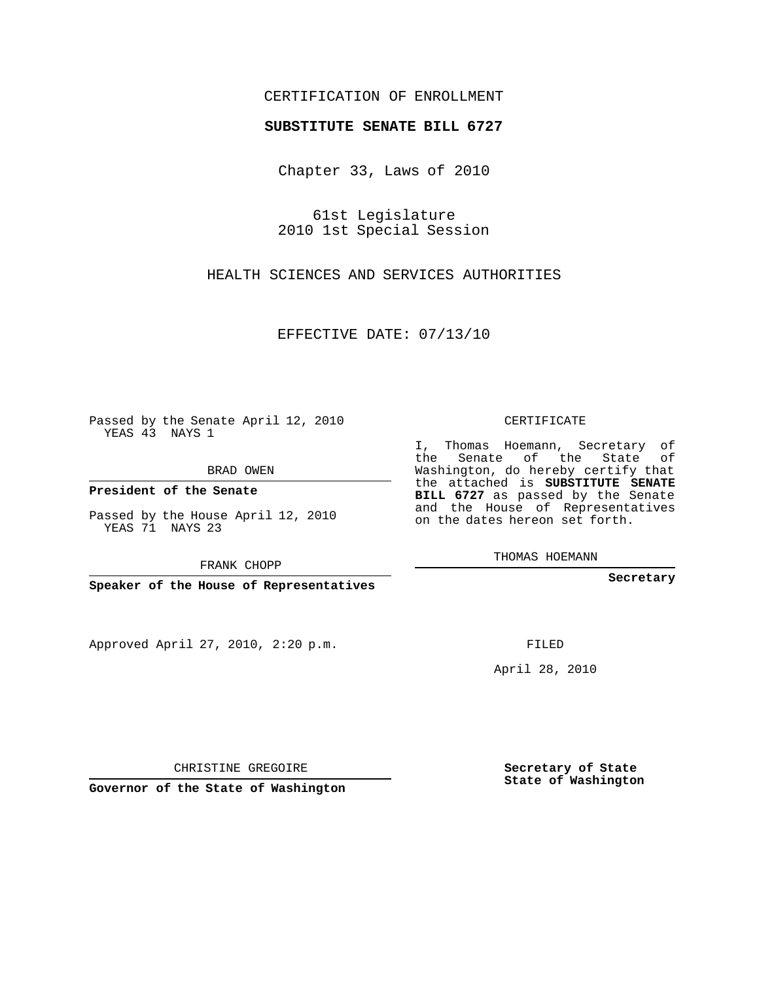## CERTIFICATION OF ENROLLMENT

## **SUBSTITUTE SENATE BILL 6727**

Chapter 33, Laws of 2010

61st Legislature 2010 1st Special Session

HEALTH SCIENCES AND SERVICES AUTHORITIES

EFFECTIVE DATE: 07/13/10

Passed by the Senate April 12, 2010 YEAS 43 NAYS 1

BRAD OWEN

**President of the Senate**

Passed by the House April 12, 2010 YEAS 71 NAYS 23

FRANK CHOPP

**Speaker of the House of Representatives**

Approved April 27, 2010, 2:20 p.m.

CERTIFICATE

I, Thomas Hoemann, Secretary of the Senate of the State of Washington, do hereby certify that the attached is **SUBSTITUTE SENATE BILL 6727** as passed by the Senate and the House of Representatives on the dates hereon set forth.

THOMAS HOEMANN

**Secretary**

FILED

April 28, 2010

**Secretary of State State of Washington**

CHRISTINE GREGOIRE

**Governor of the State of Washington**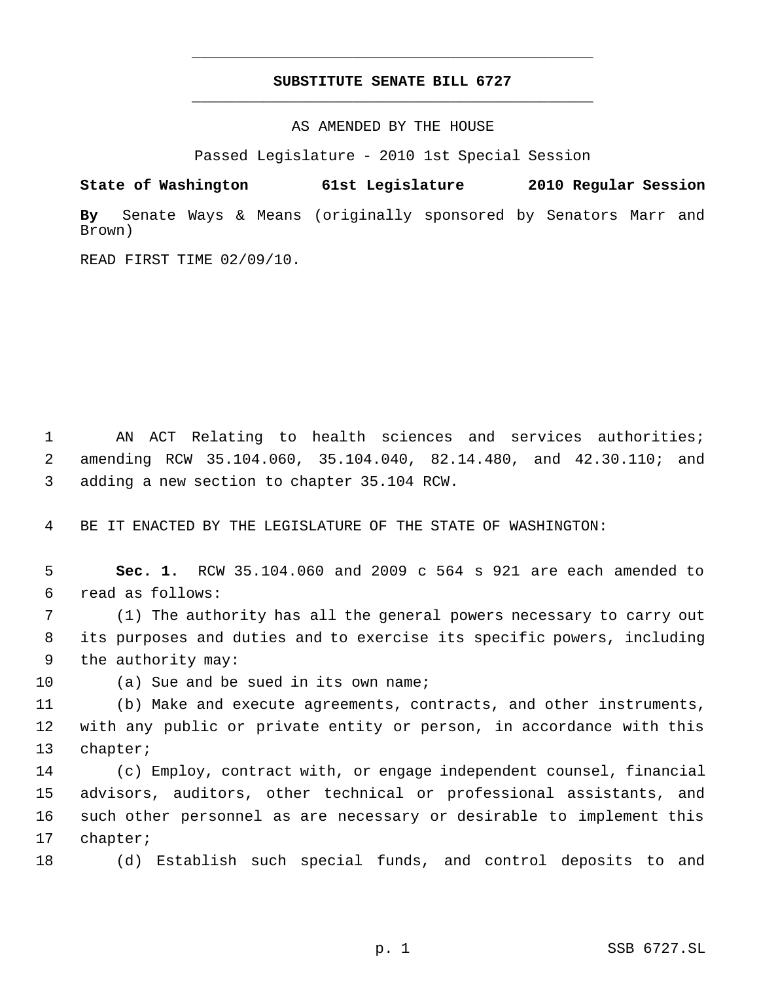## **SUBSTITUTE SENATE BILL 6727** \_\_\_\_\_\_\_\_\_\_\_\_\_\_\_\_\_\_\_\_\_\_\_\_\_\_\_\_\_\_\_\_\_\_\_\_\_\_\_\_\_\_\_\_\_

\_\_\_\_\_\_\_\_\_\_\_\_\_\_\_\_\_\_\_\_\_\_\_\_\_\_\_\_\_\_\_\_\_\_\_\_\_\_\_\_\_\_\_\_\_

AS AMENDED BY THE HOUSE

Passed Legislature - 2010 1st Special Session

**State of Washington 61st Legislature 2010 Regular Session**

**By** Senate Ways & Means (originally sponsored by Senators Marr and Brown)

READ FIRST TIME 02/09/10.

 AN ACT Relating to health sciences and services authorities; amending RCW 35.104.060, 35.104.040, 82.14.480, and 42.30.110; and adding a new section to chapter 35.104 RCW.

BE IT ENACTED BY THE LEGISLATURE OF THE STATE OF WASHINGTON:

 **Sec. 1.** RCW 35.104.060 and 2009 c 564 s 921 are each amended to read as follows:

 (1) The authority has all the general powers necessary to carry out its purposes and duties and to exercise its specific powers, including the authority may:

10 (a) Sue and be sued in its own name;

 (b) Make and execute agreements, contracts, and other instruments, with any public or private entity or person, in accordance with this chapter;

 (c) Employ, contract with, or engage independent counsel, financial advisors, auditors, other technical or professional assistants, and such other personnel as are necessary or desirable to implement this chapter;

(d) Establish such special funds, and control deposits to and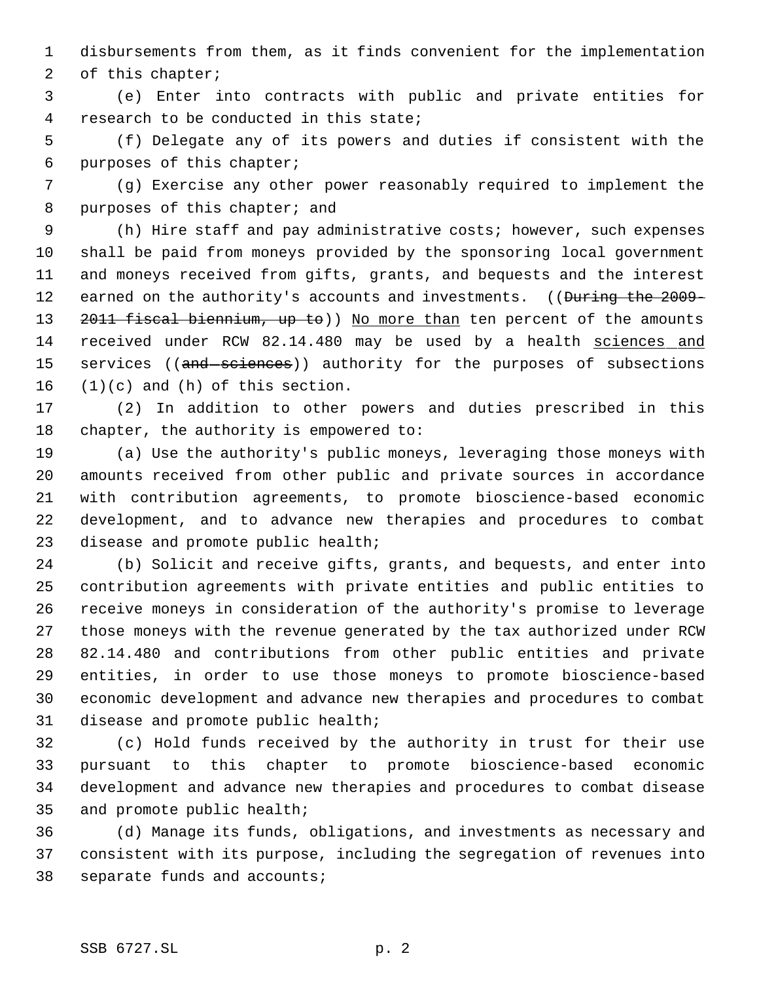disbursements from them, as it finds convenient for the implementation 2 of this chapter;

 (e) Enter into contracts with public and private entities for research to be conducted in this state;

 (f) Delegate any of its powers and duties if consistent with the purposes of this chapter;

 (g) Exercise any other power reasonably required to implement the 8 purposes of this chapter; and

 (h) Hire staff and pay administrative costs; however, such expenses shall be paid from moneys provided by the sponsoring local government and moneys received from gifts, grants, and bequests and the interest 12 earned on the authority's accounts and investments. ((During the 2009-13 2011 fiscal biennium, up to)) No more than ten percent of the amounts received under RCW 82.14.480 may be used by a health sciences and 15 services ((and sciences)) authority for the purposes of subsections  $(1)(c)$  and  $(h)$  of this section.

 (2) In addition to other powers and duties prescribed in this chapter, the authority is empowered to:

 (a) Use the authority's public moneys, leveraging those moneys with amounts received from other public and private sources in accordance with contribution agreements, to promote bioscience-based economic development, and to advance new therapies and procedures to combat disease and promote public health;

 (b) Solicit and receive gifts, grants, and bequests, and enter into contribution agreements with private entities and public entities to receive moneys in consideration of the authority's promise to leverage those moneys with the revenue generated by the tax authorized under RCW 82.14.480 and contributions from other public entities and private entities, in order to use those moneys to promote bioscience-based economic development and advance new therapies and procedures to combat disease and promote public health;

 (c) Hold funds received by the authority in trust for their use pursuant to this chapter to promote bioscience-based economic development and advance new therapies and procedures to combat disease and promote public health;

 (d) Manage its funds, obligations, and investments as necessary and consistent with its purpose, including the segregation of revenues into separate funds and accounts;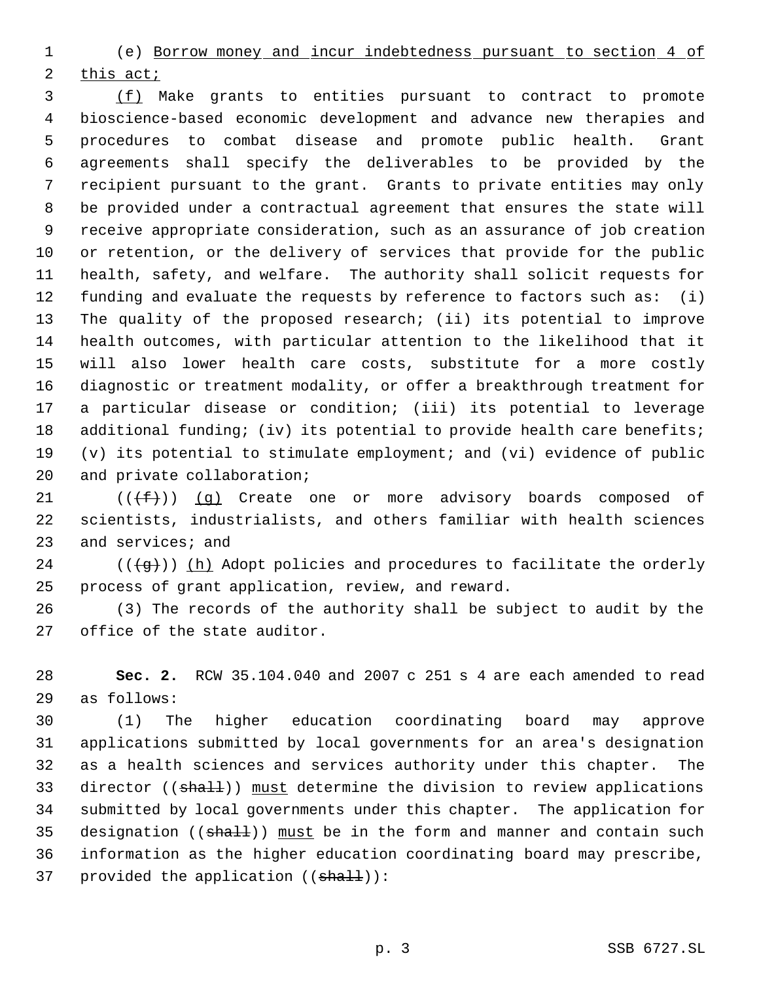(e) Borrow money and incur indebtedness pursuant to section 4 of this act;

 (f) Make grants to entities pursuant to contract to promote bioscience-based economic development and advance new therapies and procedures to combat disease and promote public health. Grant agreements shall specify the deliverables to be provided by the recipient pursuant to the grant. Grants to private entities may only be provided under a contractual agreement that ensures the state will receive appropriate consideration, such as an assurance of job creation or retention, or the delivery of services that provide for the public health, safety, and welfare. The authority shall solicit requests for funding and evaluate the requests by reference to factors such as: (i) The quality of the proposed research; (ii) its potential to improve health outcomes, with particular attention to the likelihood that it will also lower health care costs, substitute for a more costly diagnostic or treatment modality, or offer a breakthrough treatment for a particular disease or condition; (iii) its potential to leverage 18 additional funding; (iv) its potential to provide health care benefits; (v) its potential to stimulate employment; and (vi) evidence of public 20 and private collaboration;

21  $((\text{#}))$  (q) Create one or more advisory boards composed of scientists, industrialists, and others familiar with health sciences and services; and

24 ( $(\frac{1}{9})$ ) (h) Adopt policies and procedures to facilitate the orderly process of grant application, review, and reward.

 (3) The records of the authority shall be subject to audit by the office of the state auditor.

 **Sec. 2.** RCW 35.104.040 and 2007 c 251 s 4 are each amended to read as follows:

 (1) The higher education coordinating board may approve applications submitted by local governments for an area's designation as a health sciences and services authority under this chapter. The 33 director ((shall)) must determine the division to review applications submitted by local governments under this chapter. The application for 35 designation ( $(\text{sha1+})$ ) must be in the form and manner and contain such information as the higher education coordinating board may prescribe, 37 provided the application  $((\text{sha11}))$ :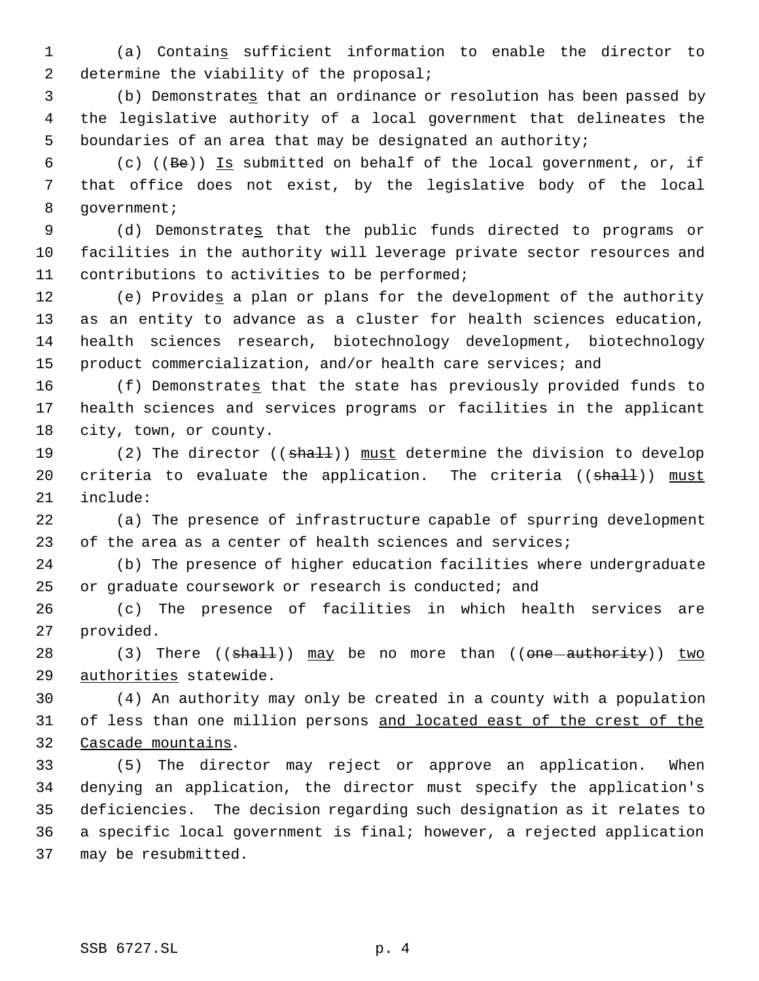(a) Contains sufficient information to enable the director to 2 determine the viability of the proposal;

 (b) Demonstrates that an ordinance or resolution has been passed by the legislative authority of a local government that delineates the boundaries of an area that may be designated an authority;

6 (c) ((Be)) Is submitted on behalf of the local government, or, if that office does not exist, by the legislative body of the local 8 government;

 (d) Demonstrates that the public funds directed to programs or facilities in the authority will leverage private sector resources and contributions to activities to be performed;

12 (e) Provides a plan or plans for the development of the authority as an entity to advance as a cluster for health sciences education, health sciences research, biotechnology development, biotechnology 15 product commercialization, and/or health care services; and

 (f) Demonstrates that the state has previously provided funds to health sciences and services programs or facilities in the applicant city, town, or county.

19 (2) The director ((shall)) must determine the division to develop 20 criteria to evaluate the application. The criteria ((shall)) must include:

 (a) The presence of infrastructure capable of spurring development of the area as a center of health sciences and services;

 (b) The presence of higher education facilities where undergraduate or graduate coursework or research is conducted; and

 (c) The presence of facilities in which health services are provided.

28 (3) There  $((shall))$  may be no more than  $((one-authority))$  two 29 authorities statewide.

 (4) An authority may only be created in a county with a population 31 of less than one million persons and located east of the crest of the Cascade mountains.

 (5) The director may reject or approve an application. When denying an application, the director must specify the application's deficiencies. The decision regarding such designation as it relates to a specific local government is final; however, a rejected application may be resubmitted.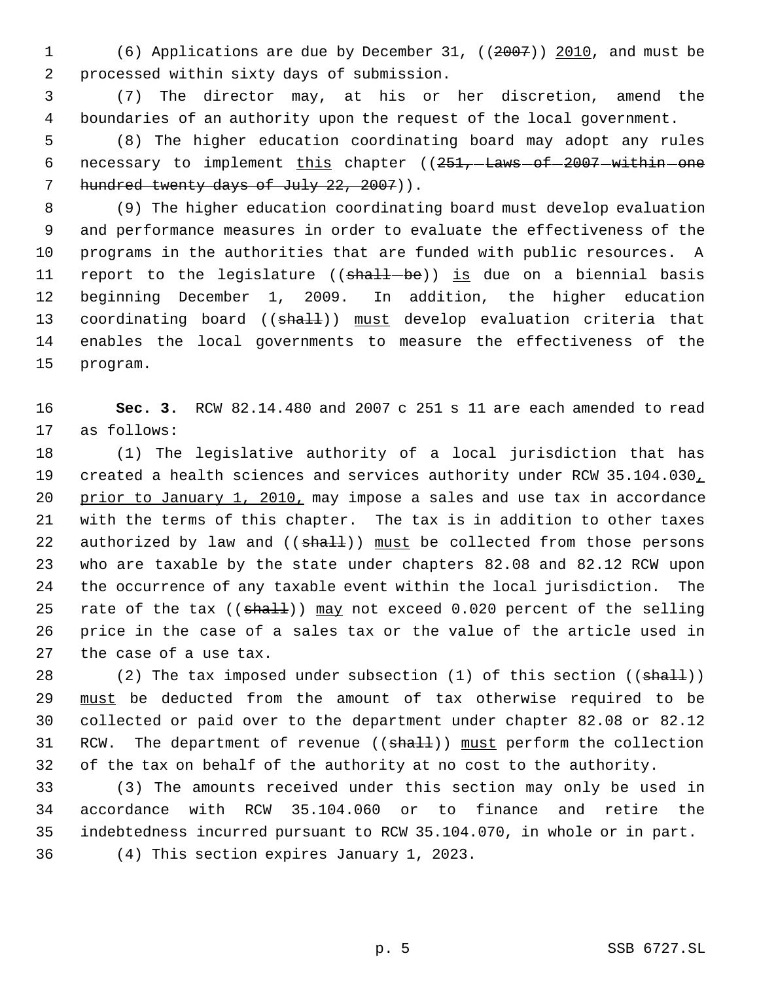(6) Applications are due by December 31, ((2007)) 2010, and must be processed within sixty days of submission.

 (7) The director may, at his or her discretion, amend the boundaries of an authority upon the request of the local government.

 (8) The higher education coordinating board may adopt any rules 6 necessary to implement  $\underline{this}$  chapter (( $251, -{\text{Laws}}-6f-2007$  within one 7 hundred twenty days of July 22, 2007)).

 (9) The higher education coordinating board must develop evaluation and performance measures in order to evaluate the effectiveness of the programs in the authorities that are funded with public resources. A 11 report to the legislature ((shall-be)) is due on a biennial basis beginning December 1, 2009. In addition, the higher education 13 coordinating board ((shall)) must develop evaluation criteria that enables the local governments to measure the effectiveness of the program.

 **Sec. 3.** RCW 82.14.480 and 2007 c 251 s 11 are each amended to read as follows:

 (1) The legislative authority of a local jurisdiction that has 19 created a health sciences and services authority under RCW 35.104.030, 20 prior to January 1, 2010, may impose a sales and use tax in accordance with the terms of this chapter. The tax is in addition to other taxes 22 authorized by law and  $((shath)$ ) must be collected from those persons who are taxable by the state under chapters 82.08 and 82.12 RCW upon the occurrence of any taxable event within the local jurisdiction. The 25 rate of the tax  $((shall))$  may not exceed 0.020 percent of the selling price in the case of a sales tax or the value of the article used in the case of a use tax.

28 (2) The tax imposed under subsection  $(1)$  of this section  $((\text{shalt}))$ 29 must be deducted from the amount of tax otherwise required to be collected or paid over to the department under chapter 82.08 or 82.12 31 RCW. The department of revenue ((shall)) must perform the collection of the tax on behalf of the authority at no cost to the authority.

 (3) The amounts received under this section may only be used in accordance with RCW 35.104.060 or to finance and retire the indebtedness incurred pursuant to RCW 35.104.070, in whole or in part. (4) This section expires January 1, 2023.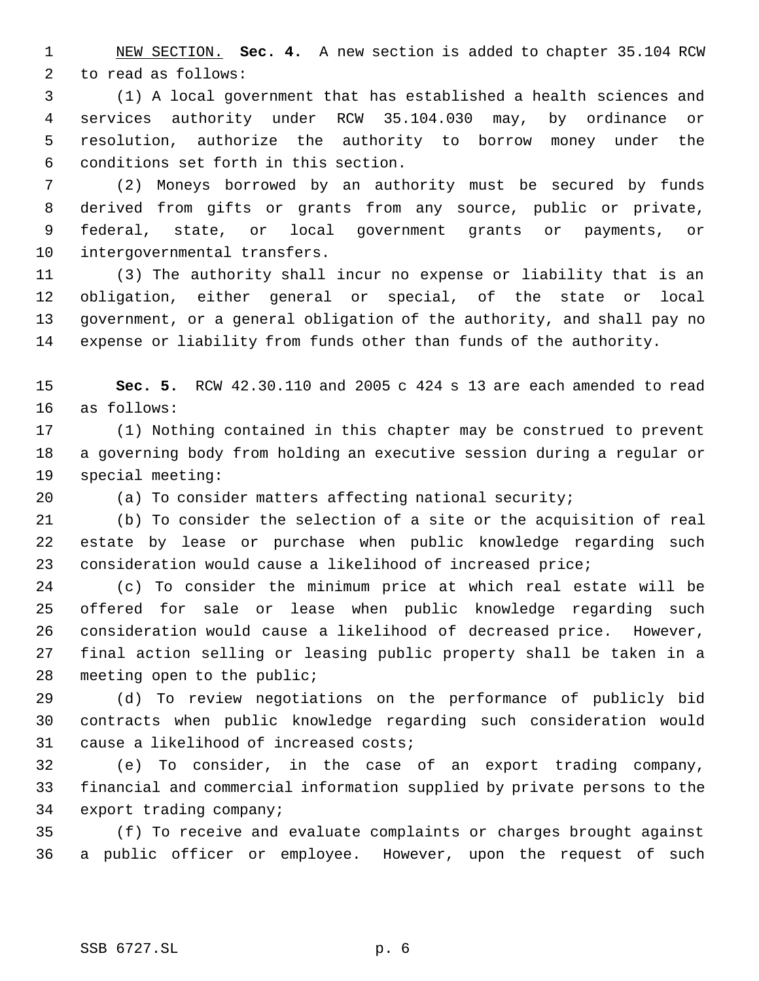NEW SECTION. **Sec. 4.** A new section is added to chapter 35.104 RCW to read as follows:

 (1) A local government that has established a health sciences and services authority under RCW 35.104.030 may, by ordinance or resolution, authorize the authority to borrow money under the conditions set forth in this section.

 (2) Moneys borrowed by an authority must be secured by funds derived from gifts or grants from any source, public or private, federal, state, or local government grants or payments, or intergovernmental transfers.

 (3) The authority shall incur no expense or liability that is an obligation, either general or special, of the state or local government, or a general obligation of the authority, and shall pay no expense or liability from funds other than funds of the authority.

 **Sec. 5.** RCW 42.30.110 and 2005 c 424 s 13 are each amended to read as follows:

 (1) Nothing contained in this chapter may be construed to prevent a governing body from holding an executive session during a regular or special meeting:

(a) To consider matters affecting national security;

 (b) To consider the selection of a site or the acquisition of real estate by lease or purchase when public knowledge regarding such consideration would cause a likelihood of increased price;

 (c) To consider the minimum price at which real estate will be offered for sale or lease when public knowledge regarding such consideration would cause a likelihood of decreased price. However, final action selling or leasing public property shall be taken in a meeting open to the public;

 (d) To review negotiations on the performance of publicly bid contracts when public knowledge regarding such consideration would cause a likelihood of increased costs;

 (e) To consider, in the case of an export trading company, financial and commercial information supplied by private persons to the export trading company;

 (f) To receive and evaluate complaints or charges brought against a public officer or employee. However, upon the request of such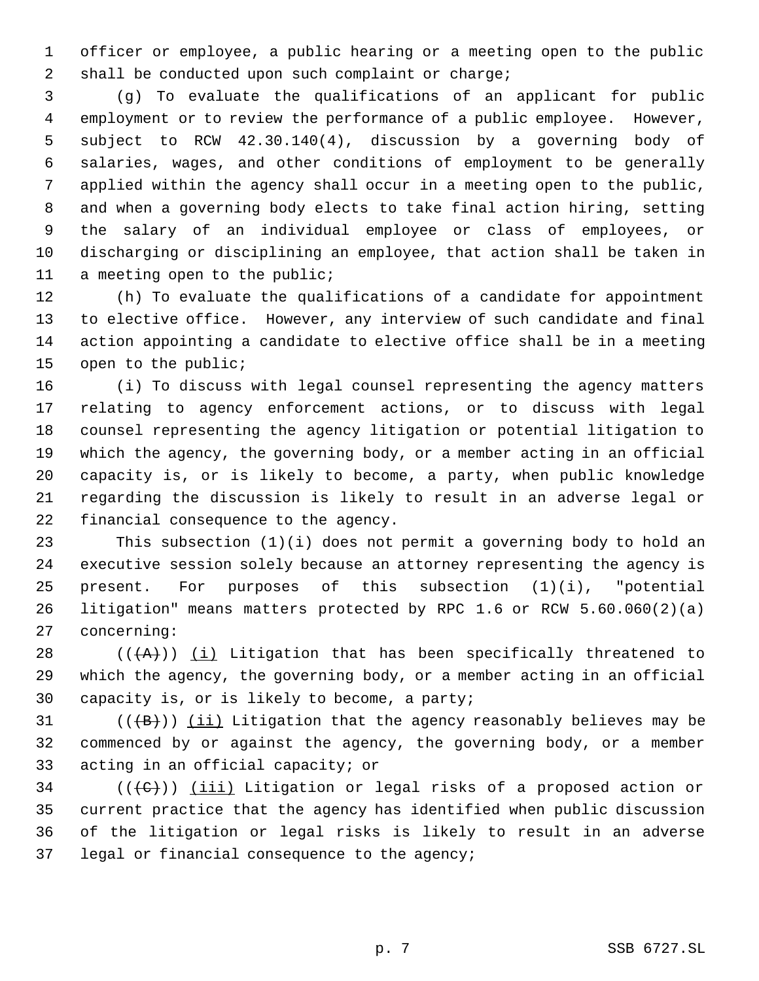officer or employee, a public hearing or a meeting open to the public shall be conducted upon such complaint or charge;

 (g) To evaluate the qualifications of an applicant for public employment or to review the performance of a public employee. However, subject to RCW 42.30.140(4), discussion by a governing body of salaries, wages, and other conditions of employment to be generally applied within the agency shall occur in a meeting open to the public, and when a governing body elects to take final action hiring, setting the salary of an individual employee or class of employees, or discharging or disciplining an employee, that action shall be taken in a meeting open to the public;

 (h) To evaluate the qualifications of a candidate for appointment to elective office. However, any interview of such candidate and final action appointing a candidate to elective office shall be in a meeting open to the public;

 (i) To discuss with legal counsel representing the agency matters relating to agency enforcement actions, or to discuss with legal counsel representing the agency litigation or potential litigation to which the agency, the governing body, or a member acting in an official capacity is, or is likely to become, a party, when public knowledge regarding the discussion is likely to result in an adverse legal or financial consequence to the agency.

 This subsection (1)(i) does not permit a governing body to hold an executive session solely because an attorney representing the agency is 25 present. For purposes of this subsection  $(1)(i)$ , "potential litigation" means matters protected by RPC 1.6 or RCW 5.60.060(2)(a) concerning:

28  $((+A))$   $(i)$  Litigation that has been specifically threatened to which the agency, the governing body, or a member acting in an official capacity is, or is likely to become, a party;

31  $((\{B\}))(\underline{\mathbf{iii}})$  Litigation that the agency reasonably believes may be commenced by or against the agency, the governing body, or a member acting in an official capacity; or

 (( $(\leftarrow\leftarrow)$ )) (iii) Litigation or legal risks of a proposed action or current practice that the agency has identified when public discussion of the litigation or legal risks is likely to result in an adverse legal or financial consequence to the agency;